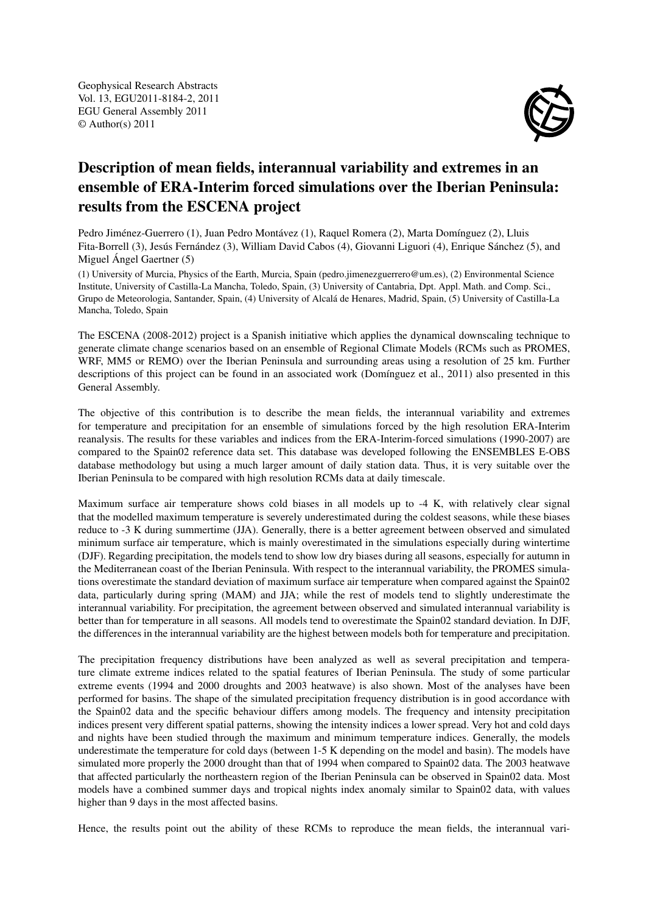

## Description of mean fields, interannual variability and extremes in an ensemble of ERA-Interim forced simulations over the Iberian Peninsula: results from the ESCENA project

Pedro Jiménez-Guerrero (1), Juan Pedro Montávez (1), Raquel Romera (2), Marta Domínguez (2), Lluis Fita-Borrell (3), Jesús Fernández (3), William David Cabos (4), Giovanni Liguori (4), Enrique Sánchez (5), and Miguel Ángel Gaertner (5)

(1) University of Murcia, Physics of the Earth, Murcia, Spain (pedro.jimenezguerrero@um.es), (2) Environmental Science Institute, University of Castilla-La Mancha, Toledo, Spain, (3) University of Cantabria, Dpt. Appl. Math. and Comp. Sci., Grupo de Meteorologia, Santander, Spain, (4) University of Alcalá de Henares, Madrid, Spain, (5) University of Castilla-La Mancha, Toledo, Spain

The ESCENA (2008-2012) project is a Spanish initiative which applies the dynamical downscaling technique to generate climate change scenarios based on an ensemble of Regional Climate Models (RCMs such as PROMES, WRF, MM5 or REMO) over the Iberian Peninsula and surrounding areas using a resolution of 25 km. Further descriptions of this project can be found in an associated work (Domínguez et al., 2011) also presented in this General Assembly.

The objective of this contribution is to describe the mean fields, the interannual variability and extremes for temperature and precipitation for an ensemble of simulations forced by the high resolution ERA-Interim reanalysis. The results for these variables and indices from the ERA-Interim-forced simulations (1990-2007) are compared to the Spain02 reference data set. This database was developed following the ENSEMBLES E-OBS database methodology but using a much larger amount of daily station data. Thus, it is very suitable over the Iberian Peninsula to be compared with high resolution RCMs data at daily timescale.

Maximum surface air temperature shows cold biases in all models up to -4 K, with relatively clear signal that the modelled maximum temperature is severely underestimated during the coldest seasons, while these biases reduce to -3 K during summertime (JJA). Generally, there is a better agreement between observed and simulated minimum surface air temperature, which is mainly overestimated in the simulations especially during wintertime (DJF). Regarding precipitation, the models tend to show low dry biases during all seasons, especially for autumn in the Mediterranean coast of the Iberian Peninsula. With respect to the interannual variability, the PROMES simulations overestimate the standard deviation of maximum surface air temperature when compared against the Spain02 data, particularly during spring (MAM) and JJA; while the rest of models tend to slightly underestimate the interannual variability. For precipitation, the agreement between observed and simulated interannual variability is better than for temperature in all seasons. All models tend to overestimate the Spain02 standard deviation. In DJF, the differences in the interannual variability are the highest between models both for temperature and precipitation.

The precipitation frequency distributions have been analyzed as well as several precipitation and temperature climate extreme indices related to the spatial features of Iberian Peninsula. The study of some particular extreme events (1994 and 2000 droughts and 2003 heatwave) is also shown. Most of the analyses have been performed for basins. The shape of the simulated precipitation frequency distribution is in good accordance with the Spain02 data and the specific behaviour differs among models. The frequency and intensity precipitation indices present very different spatial patterns, showing the intensity indices a lower spread. Very hot and cold days and nights have been studied through the maximum and minimum temperature indices. Generally, the models underestimate the temperature for cold days (between 1-5 K depending on the model and basin). The models have simulated more properly the 2000 drought than that of 1994 when compared to Spain02 data. The 2003 heatwave that affected particularly the northeastern region of the Iberian Peninsula can be observed in Spain02 data. Most models have a combined summer days and tropical nights index anomaly similar to Spain02 data, with values higher than 9 days in the most affected basins.

Hence, the results point out the ability of these RCMs to reproduce the mean fields, the interannual vari-